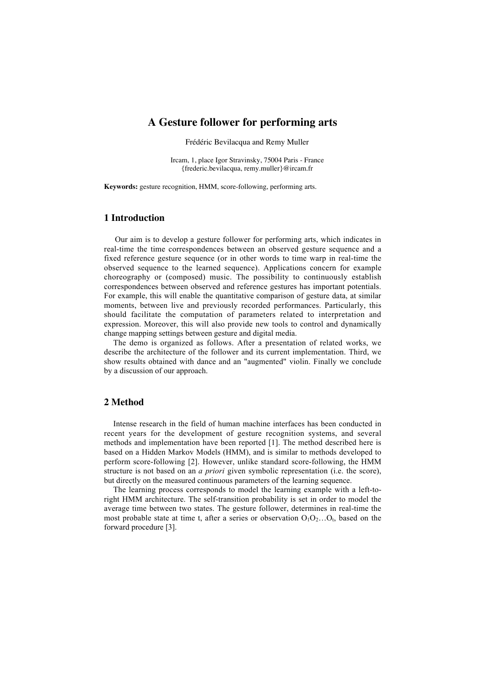# **A Gesture follower for performing arts**

Frédéric Bevilacqua and Remy Muller

Ircam, 1, place Igor Stravinsky, 75004 Paris - France {frederic.bevilacqua, remy.muller}@ircam.fr

**Keywords:** gesture recognition, HMM, score-following, performing arts.

## **1 Introduction**

Our aim is to develop a gesture follower for performing arts, which indicates in real-time the time correspondences between an observed gesture sequence and a fixed reference gesture sequence (or in other words to time warp in real-time the observed sequence to the learned sequence). Applications concern for example choreography or (composed) music. The possibility to continuously establish correspondences between observed and reference gestures has important potentials. For example, this will enable the quantitative comparison of gesture data, at similar moments, between live and previously recorded performances. Particularly, this should facilitate the computation of parameters related to interpretation and expression. Moreover, this will also provide new tools to control and dynamically change mapping settings between gesture and digital media.

The demo is organized as follows. After a presentation of related works, we describe the architecture of the follower and its current implementation. Third, we show results obtained with dance and an "augmented" violin. Finally we conclude by a discussion of our approach.

#### **2 Method**

Intense research in the field of human machine interfaces has been conducted in recent years for the development of gesture recognition systems, and several methods and implementation have been reported [1]. The method described here is based on a Hidden Markov Models (HMM), and is similar to methods developed to perform score-following [2]. However, unlike standard score-following, the HMM structure is not based on an *a priori* given symbolic representation (i.e. the score), but directly on the measured continuous parameters of the learning sequence.

The learning process corresponds to model the learning example with a left-toright HMM architecture. The self-transition probability is set in order to model the average time between two states. The gesture follower, determines in real-time the most probable state at time t, after a series or observation  $O_1O_2...O_t$ , based on the forward procedure [3].